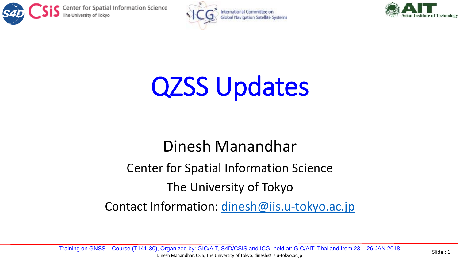





## QZSS Updates

## Dinesh Manandhar

## Center for Spatial Information Science

## The University of Tokyo

Contact Information: [dinesh@iis.u-tokyo.ac.jp](mailto:dinesh@iis.u-Tokyo.ac.jp)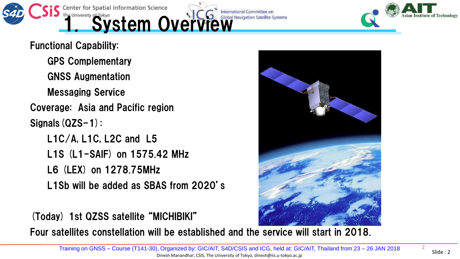

Functional Capability:

GPS Complementary GNSS Augmentation

Messaging Service

Coverage: Asia and Pacific region

Signals(QZS-1):

L1C/A, L1C, L2C and L5 L1S (L1-SAIF) on 1575.42 MHz L6 (LEX) on 1278.75MHz L1Sb will be added as SBAS from 2020's

(Today) 1st QZSS satellite "MICHIBIKI"

Four satellites constellation will be established and the service will start in 2018.

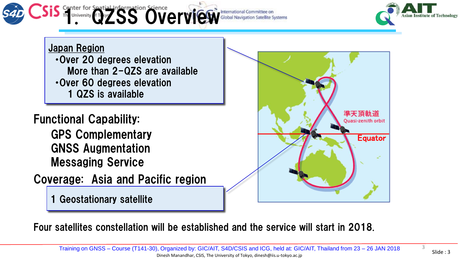



Japan Region ・Over 20 degrees elevation More than 2-QZS are available ・Over 60 degrees elevation 1 QZS is available

Functional Capability:

GPS Complementary GNSS Augmentation Messaging Service

Coverage: Asia and Pacific region

1 Geostationary satellite



Four satellites constellation will be established and the service will start in 2018.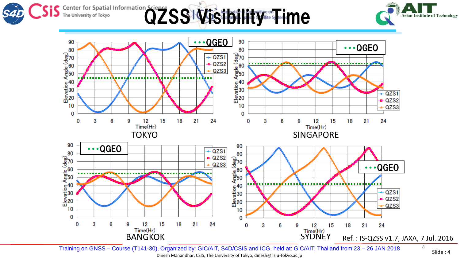





Training on GNSS – Course (T141-30), Organized by: GIC/AIT, S4D/CSIS and ICG, held at: GIC/AIT, Thailand from 23 – 26 JAN 2018 Dinesh Manandhar, CSIS, The University of Tokyo, dinesh@iis.u-tokyo.ac.jp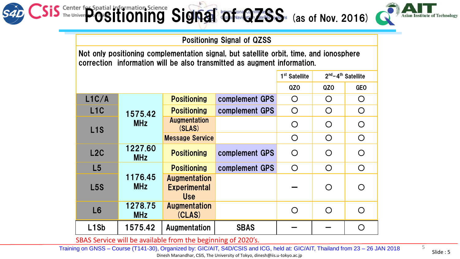

Asian

Positioning Signal of QZSS

Not only positioning complementation signal, but satellite orbit, time, and ionosphere correction information will be also transmitted as augment information.

|                               |                       |                                                          |                | 1 <sup>st</sup> Satellite | $2nd - 4th$ Satellite |            |
|-------------------------------|-----------------------|----------------------------------------------------------|----------------|---------------------------|-----------------------|------------|
|                               |                       |                                                          |                | QZ <sub>O</sub>           | QZ0                   | <b>GEO</b> |
| L1C/A                         | 1575.42<br><b>MHz</b> | <b>Positioning</b>                                       | complement GPS | $\bigcirc$                | $\bigcirc$            | $\bigcirc$ |
| L <sub>1</sub> C              |                       | <b>Positioning</b>                                       | complement GPS | $\bigcirc$                | $\bigcirc$            | $\bigcirc$ |
| L <sub>1</sub> S              |                       | <b>Augmentation</b><br>(SLAS)                            |                | $\bigcirc$                | $\bigcirc$            | $\bigcirc$ |
|                               |                       | <b>Message Service</b>                                   |                | $\bigcirc$                | $\bigcirc$            | $\bigcirc$ |
| L2C                           | 1227.60<br><b>MHz</b> | <b>Positioning</b>                                       | complement GPS | $\bigcirc$                | $\bigcirc$            | $\bigcirc$ |
| L5                            | 1176.45<br><b>MHz</b> | <b>Positioning</b>                                       | complement GPS | $\bigcirc$                | $\bigcirc$            | $\bigcirc$ |
| <b>L5S</b>                    |                       | <b>Augmentation</b><br><b>Experimental</b><br><b>Use</b> |                |                           | $\bigcirc$            | $\bigcap$  |
| L6                            | 1278.75<br><b>MHz</b> | <b>Augmentation</b><br>(CLAS)                            |                | $\bigcirc$                | $\bigcirc$            | $\bigcirc$ |
| L <sub>1</sub> S <sub>b</sub> | 1575.42               | Augmentation                                             | <b>SBAS</b>    |                           |                       | $\bigcap$  |

SBAS Service will be available from the beginning of 2020's.

Training on GNSS – Course (T141-30), Organized by: GIC/AIT, S4D/CSIS and ICG, held at: GIC/AIT, Thailand from 23 – 26 JAN 2018